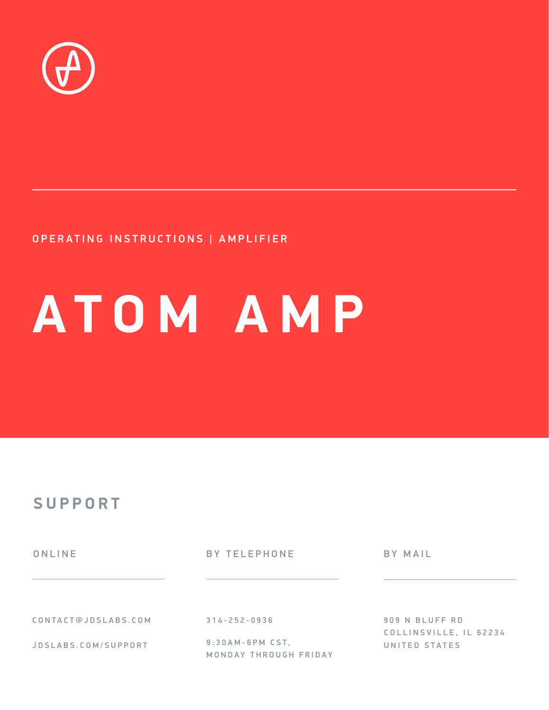

#### OPERATING INSTRUCTIONS | AMPLIFIER

# **ATOM AMP**

#### **SUPPORT**

ONLINE BY TELEPHONE BY MAIL

CONTACT@JDSLABS.COM

JDSLABS.COM/SUPPORT

314-252-0936

9 : 3 0 A M - 6 P M C S T , MONDAY THROUGH FRIDAY 909 N BLUFF RD COLLINSVILLE, IL 62234 UNITED STATES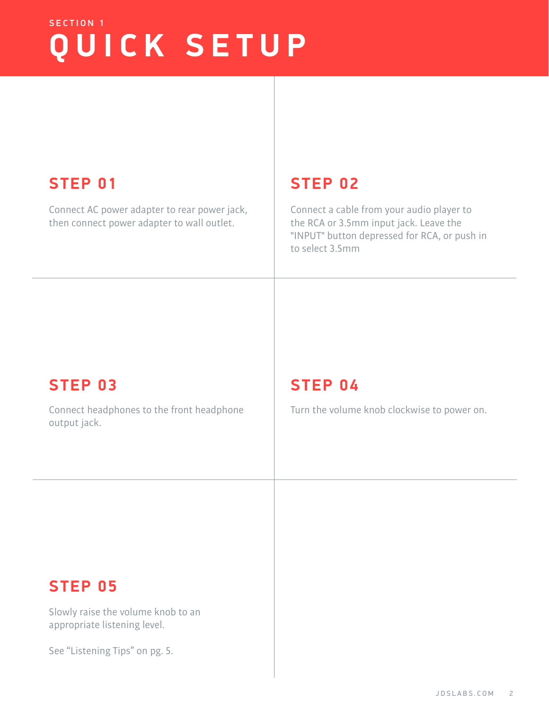# SECTION 1 **QUICK SETUP**

### **STEP 01 STEP 02**

Connect AC power adapter to rear power jack, then connect power adapter to wall outlet.

Connect a cable from your audio player to the RCA or 3.5mm input jack. Leave the "INPUT" button depressed for RCA, or push in to select 3.5mm

#### **STEP 03 STEP 04**

Connect headphones to the front headphone  $\vert$  Turn the volume knob clockwise to power on. output jack.

#### **STEP 05**

Slowly raise the volume knob to an appropriate listening level.

See "Listening Tips" on pg. 5.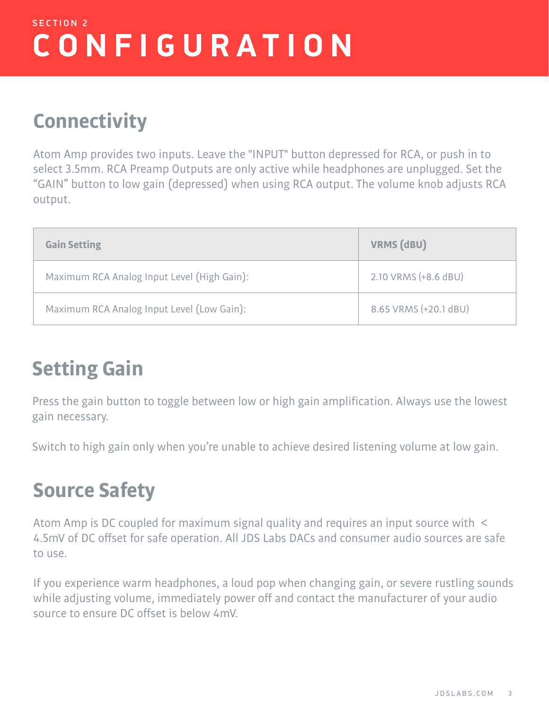# SECTION 2 **CONFIGURATION**

## **Connectivity**

Atom Amp provides two inputs. Leave the "INPUT" button depressed for RCA, or push in to select 3.5mm. RCA Preamp Outputs are only active while headphones are unplugged. Set the "GAIN" button to low gain (depressed) when using RCA output. The volume knob adjusts RCA output.

| <b>Gain Setting</b>                         | <b>VRMS (dBU)</b>     |
|---------------------------------------------|-----------------------|
| Maximum RCA Analog Input Level (High Gain): | 2.10 VRMS (+8.6 dBU)  |
| Maximum RCA Analog Input Level (Low Gain):  | 8.65 VRMS (+20.1 dBU) |

# **Setting Gain**

Press the gain button to toggle between low or high gain amplification. Always use the lowest gain necessary.

Switch to high gain only when you're unable to achieve desired listening volume at low gain.

# **Source Safety**

Atom Amp is DC coupled for maximum signal quality and requires an input source with < 4.5mV of DC offset for safe operation. All JDS Labs DACs and consumer audio sources are safe to use.

If you experience warm headphones, a loud pop when changing gain, or severe rustling sounds while adjusting volume, immediately power off and contact the manufacturer of your audio source to ensure DC offset is below 4mV.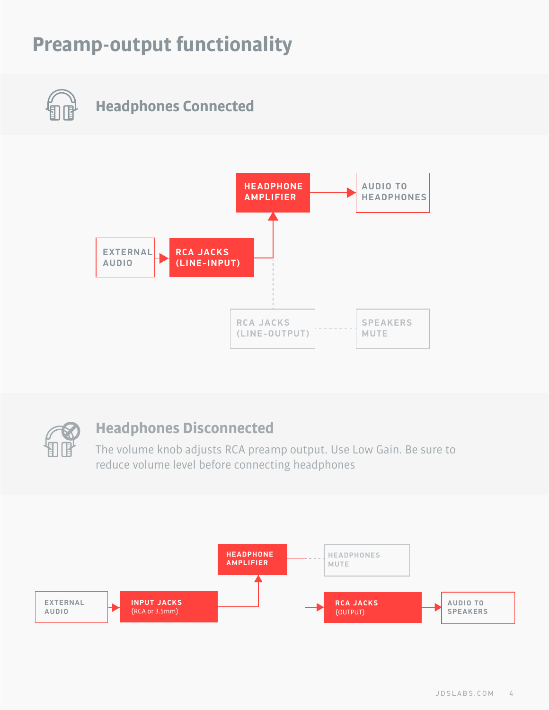# **Preamp-output functionality**

**Headphones Connected**





#### **Headphones Disconnected**

The volume knob adjusts RCA preamp output. Use Low Gain. Be sure to reduce volume level before connecting headphones

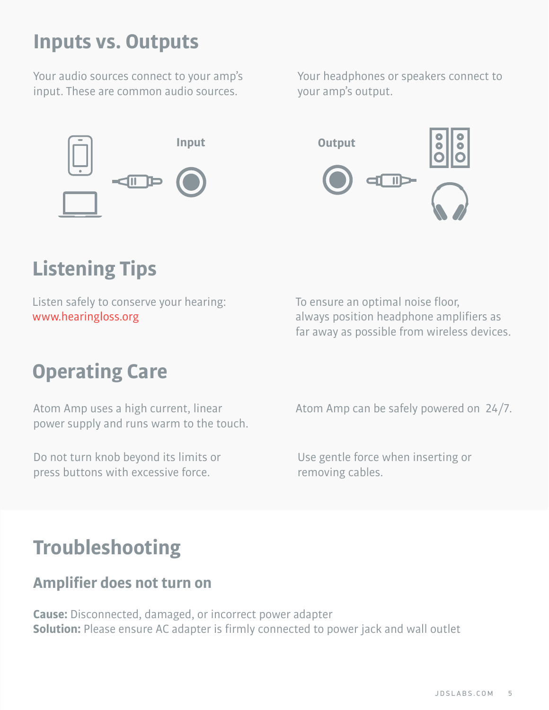### **Inputs vs. Outputs**

Your audio sources connect to your amp's input. These are common audio sources.



Your headphones or speakers connect to your amp's output.



# **Listening Tips**

Listen safely to conserve your hearing: www.hearingloss.org

# **Operating Care**

Atom Amp uses a high current, linear power supply and runs warm to the touch.

Do not turn knob beyond its limits or press buttons with excessive force.

To ensure an optimal noise floor, always position headphone amplifiers as far away as possible from wireless devices.

Atom Amp can be safely powered on 24/7.

Use gentle force when inserting or removing cables.

# **Troubleshooting**

#### **Amplifier does not turn on**

**Cause:** Disconnected, damaged, or incorrect power adapter **Solution:** Please ensure AC adapter is firmly connected to power jack and wall outlet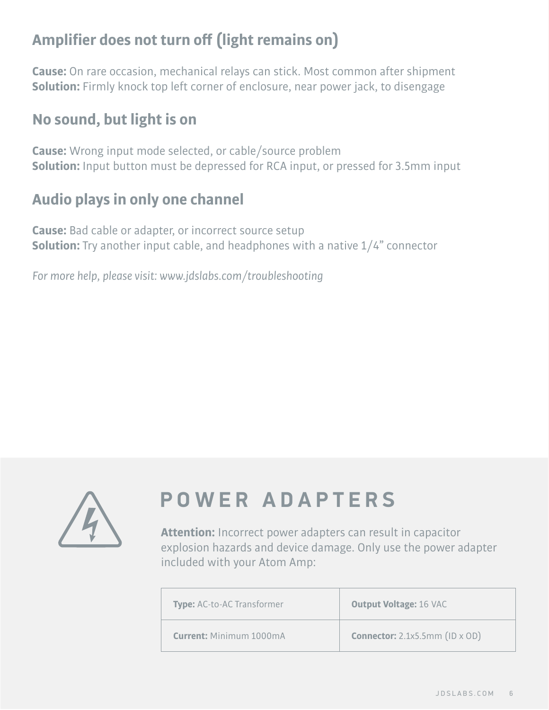#### **Amplifier does not turn off (light remains on)**

**Cause:** On rare occasion, mechanical relays can stick. Most common after shipment **Solution:** Firmly knock top left corner of enclosure, near power jack, to disengage

#### **No sound, but light is on**

**Cause:** Wrong input mode selected, or cable/source problem **Solution:** Input button must be depressed for RCA input, or pressed for 3.5mm input

#### **Audio plays in only one channel**

**Cause:** Bad cable or adapter, or incorrect source setup **Solution:** Try another input cable, and headphones with a native 1/4" connector

*For more help, please visit: www.jdslabs.com/troubleshooting*



# **POWER ADAPTERS**

**Attention:** Incorrect power adapters can result in capacitor explosion hazards and device damage. Only use the power adapter included with your Atom Amp:

| <b>Type:</b> AC-to-AC Transformer | <b>Output Voltage: 16 VAC</b>         |
|-----------------------------------|---------------------------------------|
| <b>Current: Minimum 1000mA</b>    | <b>Connector:</b> 2.1x5.5mm (ID x OD) |